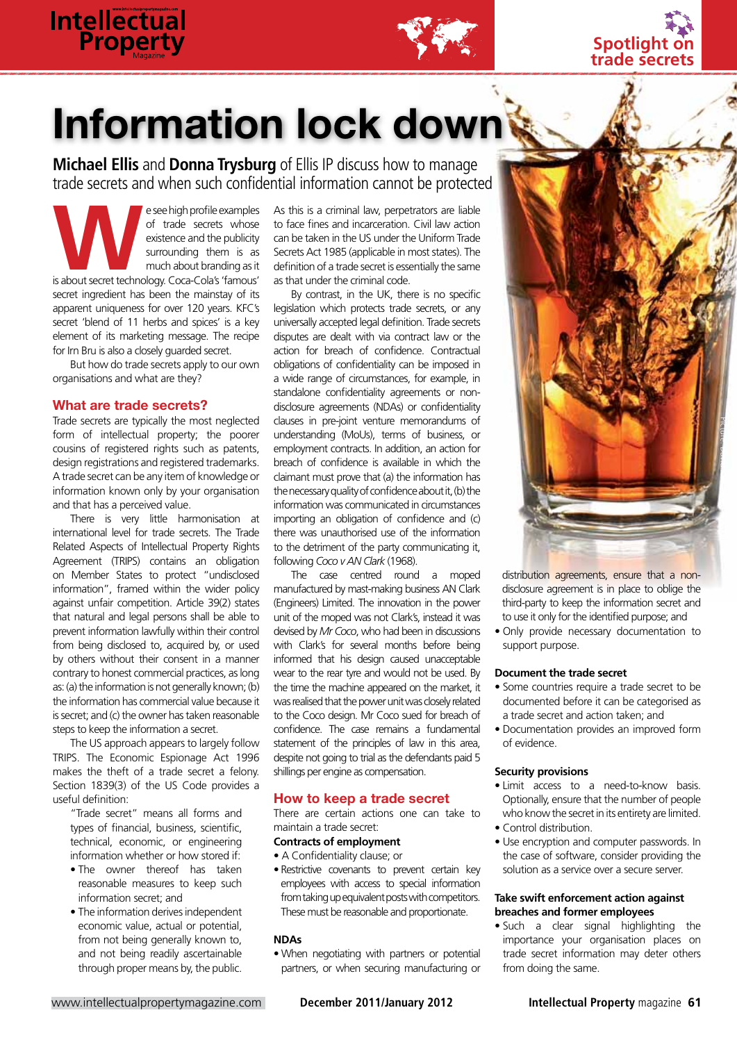

# Information lock down

**Michael Ellis** and **Donna Trysburg** of Ellis IP discuss how to manage trade secrets and when such confidential information cannot be protected

Examples of trade secrets whose<br>
existence and the publicity<br>
surrounding them is as<br>
is about secret technology. Coca-Cola's 'famous' of trade secrets whose existence and the publicity surrounding them is as much about branding as it secret ingredient has been the mainstay of its apparent uniqueness for over 120 years. KFC's secret 'blend of 11 herbs and spices' is a key element of its marketing message. The recipe for Irn Bru is also a closely guarded secret.

But how do trade secrets apply to our own organisations and what are they?

## What are trade secrets?

Trade secrets are typically the most neglected form of intellectual property; the poorer cousins of registered rights such as patents, design registrations and registered trademarks. A trade secret can be any item of knowledge or information known only by your organisation and that has a perceived value.

There is very little harmonisation at international level for trade secrets. The Trade Related Aspects of Intellectual Property Rights Agreement (TRIPS) contains an obligation on Member States to protect "undisclosed information", framed within the wider policy against unfair competition. Article 39(2) states that natural and legal persons shall be able to prevent information lawfully within their control from being disclosed to, acquired by, or used by others without their consent in a manner contrary to honest commercial practices, as long as: (a) the information is not generally known; (b) the information has commercial value because it is secret; and (c) the owner has taken reasonable steps to keep the information a secret.

The US approach appears to largely follow TRIPS. The Economic Espionage Act 1996 makes the theft of a trade secret a felony. Section 1839(3) of the US Code provides a useful definition:

"Trade secret" means all forms and types of financial, business, scientific, technical, economic, or engineering information whether or how stored if:

- The owner thereof has taken reasonable measures to keep such information secret; and
- The information derives independent economic value, actual or potential, from not being generally known to, and not being readily ascertainable through proper means by, the public.

As this is a criminal law, perpetrators are liable to face fines and incarceration. Civil law action can be taken in the US under the Uniform Trade Secrets Act 1985 (applicable in most states). The definition of a trade secret is essentially the same as that under the criminal code.

By contrast, in the UK, there is no specific legislation which protects trade secrets, or any universally accepted legal definition. Trade secrets disputes are dealt with via contract law or the action for breach of confidence. Contractual obligations of confidentiality can be imposed in a wide range of circumstances, for example, in standalone confidentiality agreements or nondisclosure agreements (NDAs) or confidentiality clauses in pre-joint venture memorandums of understanding (MoUs), terms of business, or employment contracts. In addition, an action for breach of confidence is available in which the claimant must prove that (a) the information has the necessary quality of confidence about it, (b) the information was communicated in circumstances importing an obligation of confidence and (c) there was unauthorised use of the information to the detriment of the party communicating it, following *Coco v AN Clark* (1968).

The case centred round a moped manufactured by mast-making business AN Clark (Engineers) Limited. The innovation in the power unit of the moped was not Clark's, instead it was devised by *Mr Coco*, who had been in discussions with Clark's for several months before being informed that his design caused unacceptable wear to the rear tyre and would not be used. By the time the machine appeared on the market, it was realised that the power unit was closely related to the Coco design. Mr Coco sued for breach of confidence. The case remains a fundamental statement of the principles of law in this area. despite not going to trial as the defendants paid 5 shillings per engine as compensation.

# How to keep a trade secret

There are certain actions one can take to maintain a trade secret:

# **Contracts of employment**

- A Confidentiality clause; or
- Restrictive covenants to prevent certain key employees with access to special information from taking up equivalent posts with competitors. These must be reasonable and proportionate.

# **NDAs**

• When negotiating with partners or potential partners, or when securing manufacturing or



**Spotlight of trade secrets**

distribution agreements, ensure that a nondisclosure agreement is in place to oblige the third-party to keep the information secret and to use it only for the identified purpose; and

• Only provide necessary documentation to support purpose.

#### **Document the trade secret**

- Some countries require a trade secret to be documented before it can be categorised as a trade secret and action taken; and
- Documentation provides an improved form of evidence.

#### **Security provisions**

- Limit access to a need-to-know basis. Optionally, ensure that the number of people who know the secret in its entirety are limited. • Control distribution.
- 
- Use encryption and computer passwords. In the case of software, consider providing the solution as a service over a secure server.

## **Take swift enforcement action against breaches and former employees**

• Such a clear signal highlighting the importance your organisation places on trade secret information may deter others from doing the same.